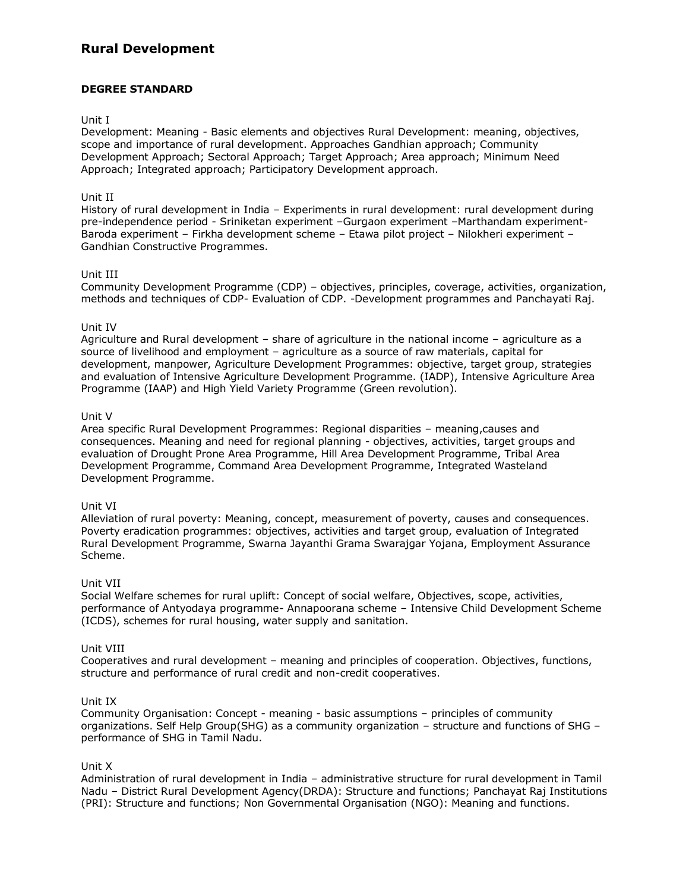# **Rural Development**

# **DEGREE STANDARD**

#### Unit I

Development: Meaning - Basic elements and objectives Rural Development: meaning, objectives, scope and importance of rural development. Approaches Gandhian approach; Community Development Approach; Sectoral Approach; Target Approach; Area approach; Minimum Need Approach; Integrated approach; Participatory Development approach.

# Unit II

History of rural development in India – Experiments in rural development: rural development during pre-independence period - Sriniketan experiment –Gurgaon experiment –Marthandam experiment-Baroda experiment – Firkha development scheme – Etawa pilot project – Nilokheri experiment – Gandhian Constructive Programmes.

# Unit III

Community Development Programme (CDP) – objectives, principles, coverage, activities, organization, methods and techniques of CDP- Evaluation of CDP. -Development programmes and Panchayati Raj.

# Unit IV

Agriculture and Rural development – share of agriculture in the national income – agriculture as a source of livelihood and employment – agriculture as a source of raw materials, capital for development, manpower, Agriculture Development Programmes: objective, target group, strategies and evaluation of Intensive Agriculture Development Programme. (IADP), Intensive Agriculture Area Programme (IAAP) and High Yield Variety Programme (Green revolution).

#### Unit V

Area specific Rural Development Programmes: Regional disparities – meaning,causes and consequences. Meaning and need for regional planning - objectives, activities, target groups and evaluation of Drought Prone Area Programme, Hill Area Development Programme, Tribal Area Development Programme, Command Area Development Programme, Integrated Wasteland Development Programme.

#### Unit VI

Alleviation of rural poverty: Meaning, concept, measurement of poverty, causes and consequences. Poverty eradication programmes: objectives, activities and target group, evaluation of Integrated Rural Development Programme, Swarna Jayanthi Grama Swarajgar Yojana, Employment Assurance Scheme.

#### Unit VII

Social Welfare schemes for rural uplift: Concept of social welfare, Objectives, scope, activities, performance of Antyodaya programme- Annapoorana scheme – Intensive Child Development Scheme (ICDS), schemes for rural housing, water supply and sanitation.

#### Unit VIII

Cooperatives and rural development – meaning and principles of cooperation. Objectives, functions, structure and performance of rural credit and non-credit cooperatives.

#### Unit IX

Community Organisation: Concept - meaning - basic assumptions – principles of community organizations. Self Help Group(SHG) as a community organization – structure and functions of SHG – performance of SHG in Tamil Nadu.

#### Unit X

Administration of rural development in India – administrative structure for rural development in Tamil Nadu – District Rural Development Agency(DRDA): Structure and functions; Panchayat Raj Institutions (PRI): Structure and functions; Non Governmental Organisation (NGO): Meaning and functions.